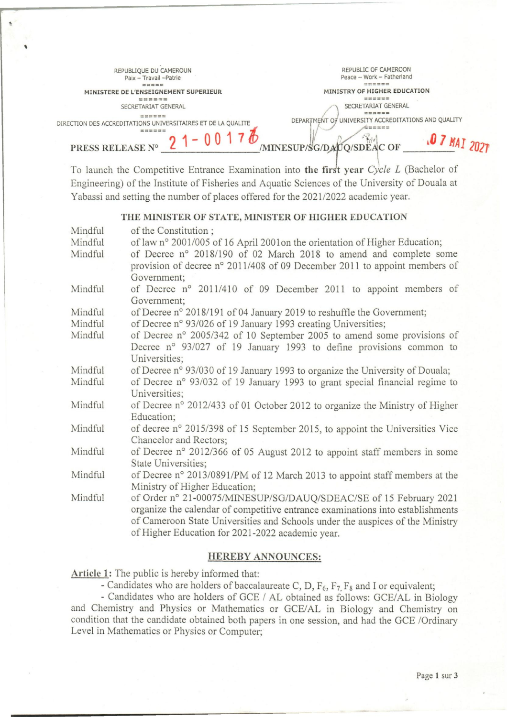| REPUBLIQUE DU CAMEROUN                                       | REPUBLIC OF CAMEROON                                                                                            |
|--------------------------------------------------------------|-----------------------------------------------------------------------------------------------------------------|
| Paix - Travail - Patrie                                      | Peace - Work - Fatherland                                                                                       |
| =====                                                        | ======                                                                                                          |
| MINISTERE DE L'ENSEIGNEMENT SUPERIEUR                        | MINISTRY OF HIGHER EDUCATION                                                                                    |
| ======                                                       | we see on test but the                                                                                          |
| SECRETARIAT GENERAL                                          | SECRETARIAT GENERAL                                                                                             |
| tion has not been come four                                  |                                                                                                                 |
| DIRECTION DES ACCREDITATIONS UNIVERSITAIRES ET DE LA QUALITE | DEPARTMENT OF UNIVERSITY ACCREDITATIONS AND QUALITY                                                             |
|                                                              |                                                                                                                 |
| PRESS RELEASE N°                                             | MINESUP/SG/DADQ/SDEAC OF                                                                                        |
|                                                              | the contract of the contract of the contract of the contract of the contract of the contract of the contract of |

To launch the Competitive Entrance Examination into the first year *Cycle L* (Bachelor of Engineering) of the Institute of Fisheries and Aquatic Sciences of the University of Douala at Yabassi and setting the number of places offered for the 2021/2022 academie year.

## **THE MINISTER OF STATE, MINISTER OF HIGHER EDUCATION**

| Mindful | of the Constitution;                                                           |
|---------|--------------------------------------------------------------------------------|
| Mindful | of law n° 2001/005 of 16 April 2001on the orientation of Higher Education;     |
| Mindful | of Decree n° 2018/190 of 02 March 2018 to amend and complete some              |
|         | provision of decree n° 2011/408 of 09 December 2011 to appoint members of      |
|         | Government;                                                                    |
| Mindful | of Decree n° 2011/410 of 09 December 2011 to appoint members of                |
|         | Government;                                                                    |
| Mindful | of Decree n° 2018/191 of 04 January 2019 to reshuffle the Government;          |
| Mindful | of Decree n° 93/026 of 19 January 1993 creating Universities;                  |
| Mindful | of Decree n° 2005/342 of 10 September 2005 to amend some provisions of         |
|         | Decree nº 93/027 of 19 January 1993 to define provisions common to             |
|         | Universities;                                                                  |
| Mindful | of Decree n° 93/030 of 19 January 1993 to organize the University of Douala;   |
| Mindful | of Decree n° 93/032 of 19 January 1993 to grant special financial regime to    |
|         | Universities;                                                                  |
| Mindful | of Decree n° 2012/433 of 01 October 2012 to organize the Ministry of Higher    |
|         | Education;                                                                     |
| Mindful | of decree n° 2015/398 of 15 September 2015, to appoint the Universities Vice   |
|         | Chancelor and Rectors;                                                         |
| Mindful | of Decree n° 2012/366 of 05 August 2012 to appoint staff members in some       |
|         | State Universities;                                                            |
| Mindful | of Decree n° 2013/0891/PM of 12 March 2013 to appoint staff members at the     |
|         | Ministry of Higher Education;                                                  |
| Mindful | of Order n° 21-00075/MINESUP/SG/DAUQ/SDEAC/SE of 15 February 2021              |
|         | organize the calendar of competitive entrance examinations into establishments |
|         | of Cameroon State Universities and Schools under the auspices of the Ministry  |
|         | of Higher Education for 2021-2022 academic year.                               |
|         |                                                                                |

## **HEREBY ANNOUNCES:**

**Article 1:** The public is hereby informed that:

 $\ddot{\phantom{0}}$ 

- Candidates who are holders of baccalaureate C, D,  $F_6$ ,  $F_7$ ,  $F_8$  and I or equivalent;

- Candidates who are holders of GCE / AL obtained as follows: GCE/AL in Biology and Chemistry and Physics or Mathematics or GCE/AL in Biology and Chemistry on condition that the candidate obtained both papers in one session, and had the GCE /Ordinary Level in Mathematics or Physics or Computer;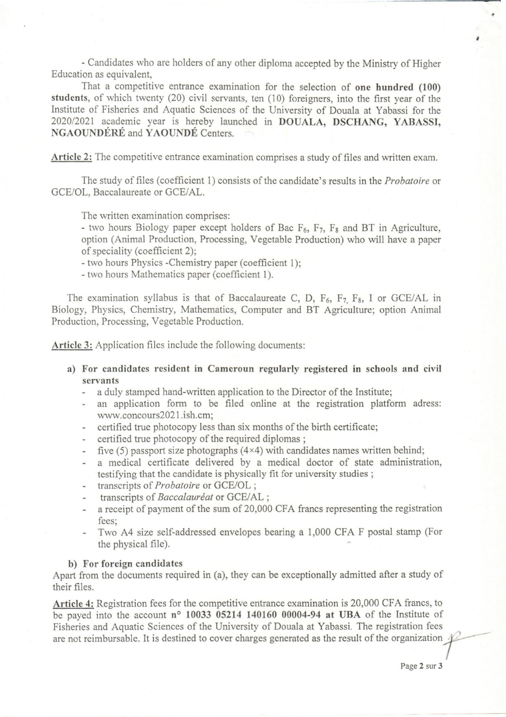- Candidates who are holders of any other diploma accepted by the Ministry of Higher Education as equivalent,

That a competitive entrance examination for the selection of one hundred (100) students, of which twenty (20) civil servants, ten (10) foreigners, into the first year of the Institute of Fisheries and Aquatic Sciences of the University of Douala at Yabassi for the *202012021* academie year is hereby launched in DOUALA, DSCHANG, YABASSI, NGAOUNDÉRÉ and YAOUNDÉ Centers.

Article 2: The competitive entrance examination comprises a study of files and written exam.

The study of files (coefficient 1) consists of the candidate's results in the *Probatoire* or GCE/OL, Baccalaureate or GCE/AL.

The written examination comprises:

- two hours Biology paper except holders of Bac  $F_6$ ,  $F_7$ ,  $F_8$  and BT in Agriculture, option (Animal Production, Processing, Vegetable Production) who will have a paper of speciality (coefficient 2);

- two hours Physics -Chemistry paper (coefficient 1);

- two hours Mathematics paper (coefficient 1).

The examination syllabus is that of Baccalaureate C, D,  $F_6$ ,  $F_7$ ,  $F_8$ , I or GCE/AL in Biology, Physics, Chemistry, Mathematics, Computer and BT Agriculture; option Animal Production, Processing, Vegetable Production.

Article 3: Application files include the following documents:

- a) For candidates resident in Cameroun regularly registered in schools and civil servants
	- a duly stamped hand-written application to the Director of the Institute;
	- an application form to be filed online at the registration platform adress: www.concours2021.ish.cm;
	- certified true photocopy less than six months of the birth certificate;  $\overline{\phantom{a}}$
	- certified true photocopy of the required diplomas ;
	- five  $(5)$  passport size photographs  $(4\times4)$  with candidates names written behind;  $\sim$
	- a medical certificate delivered by a medical doctor of state administration, testifying that the candidate is physically fit for university studies ;
	- transcripts of *Probatoire* or GCE/OL ;
	- transcripts of *Baccalauréat* or GCE/AL ;
	- a receipt of payment of the sum of 20,000 CFA francs representing the registration fees;
	- Two A4 size self-addressed envelopes bearing a 1,000 CFA F postal stamp (For the physical file).

## b) For foreign candidates

Apart from the documents required in (a), they can be exceptionally admitted after a study of their files.

Article 4: Registration fees for the competitive entrance examination is 20,000 CFA francs, to be payed into the account  $n^{\circ}$  10033 05214 140160 00004-94 at UBA of the Institute of Fisheries and Aquatic Sciences of the University of Douala at Yabassi. The registration fees are not reimbursable. It is destined to cover charges generated as the result of the organization ,